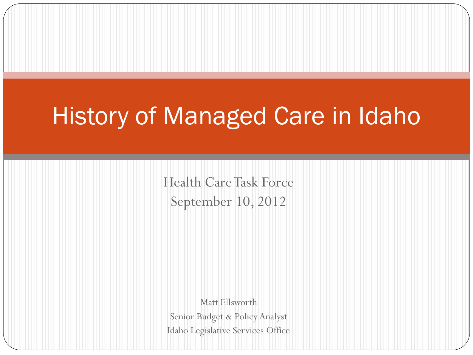# History of Managed Care in Idaho

Health Care Task Force September 10, 2012

Matt Ellsworth Senior Budget & Policy Analyst Idaho Legislative Services Office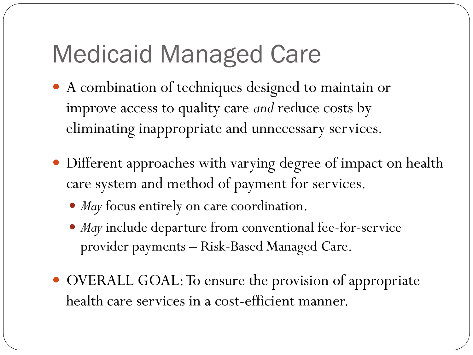# Medicaid Managed Care

- A combination of techniques designed to maintain or improve access to quality care *and* reduce costs by eliminating inappropriate and unnecessary services.
- Different approaches with varying degree of impact on health care system and method of payment for services.
	- *May* focus entirely on care coordination.
	- *May* include departure from conventional fee-for-service provider payments – Risk-Based Managed Care.
- OVERALL GOAL: To ensure the provision of appropriate health care services in a cost-efficient manner.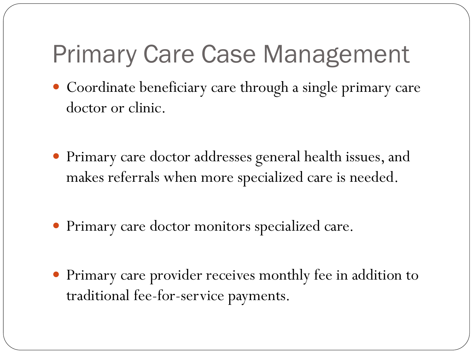# Primary Care Case Management

- Coordinate beneficiary care through a single primary care doctor or clinic.
- Primary care doctor addresses general health issues, and makes referrals when more specialized care is needed.
- Primary care doctor monitors specialized care.
- Primary care provider receives monthly fee in addition to traditional fee-for-service payments.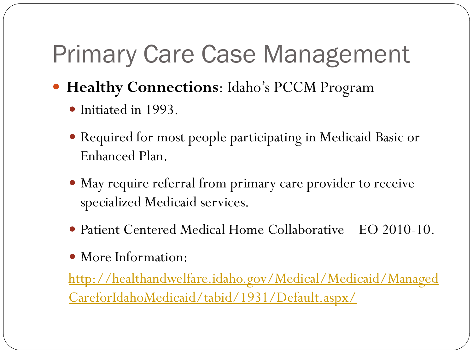# Primary Care Case Management

- **Healthy Connections**: Idaho's PCCM Program
	- Initiated in 1993.
	- Required for most people participating in Medicaid Basic or Enhanced Plan.
	- May require referral from primary care provider to receive specialized Medicaid services.
	- Patient Centered Medical Home Collaborative EO 2010-10.
	- More Information:

[http://healthandwelfare.idaho.gov/Medical/Medicaid/Managed](http://healthandwelfare.idaho.gov/Medical/Medicaid/ManagedCareforIdahoMedicaid/tabid/1931/Default.aspx/) [CareforIdahoMedicaid/tabid/1931/Default.aspx/](http://healthandwelfare.idaho.gov/Medical/Medicaid/ManagedCareforIdahoMedicaid/tabid/1931/Default.aspx/)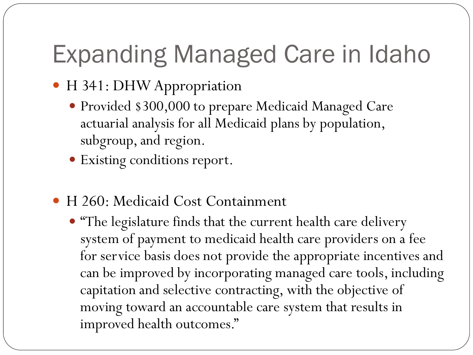# Expanding Managed Care in Idaho

- H 341: DHW Appropriation
	- Provided \$300,000 to prepare Medicaid Managed Care actuarial analysis for all Medicaid plans by population, subgroup, and region.
	- Existing conditions report.
- H 260: Medicaid Cost Containment
	- "The legislature finds that the current health care delivery system of payment to medicaid health care providers on a fee for service basis does not provide the appropriate incentives and can be improved by incorporating managed care tools, including capitation and selective contracting, with the objective of moving toward an accountable care system that results in improved health outcomes."